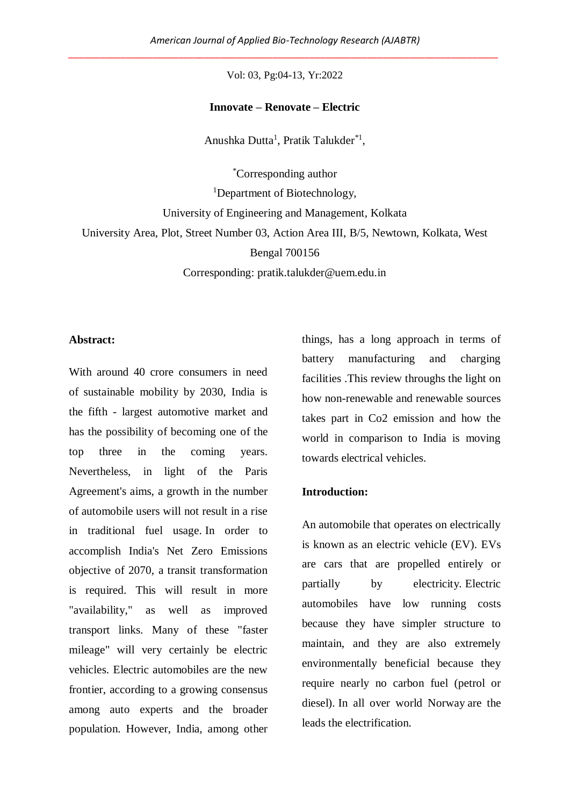Vol: 03, Pg:04-13, Yr:2022

#### **Innovate – Renovate – Electric**

Anushka Dutta<sup>1</sup>, Pratik Talukder<sup>\*1</sup>,

\*Corresponding author <sup>1</sup>Department of Biotechnology, University of Engineering and Management, Kolkata University Area, Plot, Street Number 03, Action Area III, B/5, Newtown, Kolkata, West Bengal 700156 Corresponding: pratik.talukder@uem.edu.in

#### **Abstract:**

With around 40 crore consumers in need of sustainable mobility by 2030, India is the fifth - largest automotive market and has the possibility of becoming one of the top three in the coming years. Nevertheless, in light of the Paris Agreement's aims, a growth in the number of automobile users will not result in a rise in traditional fuel usage. In order to accomplish India's Net Zero Emissions objective of 2070, a transit transformation is required. This will result in more "availability," as well as improved transport links. Many of these "faster mileage" will very certainly be electric vehicles. Electric automobiles are the new frontier, according to a growing consensus among auto experts and the broader population. However, India, among other things, has a long approach in terms of battery manufacturing and charging facilities .This review throughs the light on how non-renewable and renewable sources takes part in Co2 emission and how the world in comparison to India is moving towards electrical vehicles.

#### **Introduction:**

An automobile that operates on electrically is known as an electric vehicle (EV). EVs are cars that are propelled entirely or partially by electricity. Electric automobiles have low running costs because they have simpler structure to maintain, and they are also extremely environmentally beneficial because they require nearly no carbon fuel (petrol or diesel). In all over world Norway are the leads the electrification.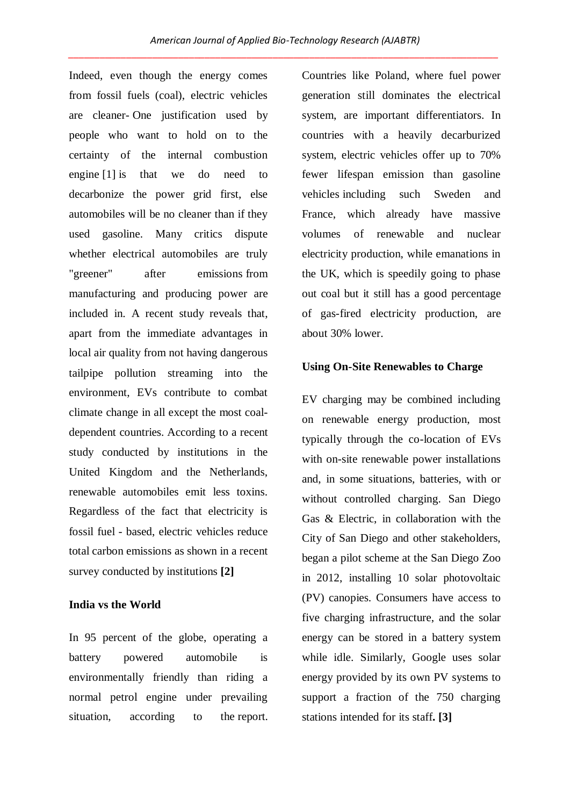Indeed, even though the energy comes from fossil fuels (coal), electric vehicles are cleaner- One justification used by people who want to hold on to the certainty of the internal combustion engine [1] is that we do need to decarbonize the power grid first, else automobiles will be no cleaner than if they used gasoline. Many critics dispute whether electrical automobiles are truly "greener" after emissions from manufacturing and producing power are included in. A recent study reveals that, apart from the immediate advantages in local air quality from not having dangerous tailpipe pollution streaming into the environment, EVs contribute to combat climate change in all except the most coaldependent countries. According to a recent study conducted by institutions in the United Kingdom and the Netherlands, renewable automobiles emit less toxins. Regardless of the fact that electricity is fossil fuel - based, electric vehicles reduce total carbon emissions as shown in a recent survey conducted by institutions **[2]**

### **India vs the World**

In 95 percent of the globe, operating a battery powered automobile is environmentally friendly than riding a normal petrol engine under prevailing situation, according to the report. Countries like Poland, where fuel power generation still dominates the electrical system, are important differentiators. In countries with a heavily decarburized system, electric vehicles offer up to 70% fewer lifespan emission than gasoline vehicles including such Sweden and France, which already have massive volumes of renewable and nuclear electricity production, while emanations in the UK, which is speedily going to phase out coal but it still has a good percentage of gas-fired electricity production, are about 30% lower.

#### **Using On-Site Renewables to Charge**

EV charging may be combined including on renewable energy production, most typically through the co-location of EVs with on-site renewable power installations and, in some situations, batteries, with or without controlled charging. San Diego Gas & Electric, in collaboration with the City of San Diego and other stakeholders, began a pilot scheme at the San Diego Zoo in 2012, installing 10 solar photovoltaic (PV) canopies. Consumers have access to five charging infrastructure, and the solar energy can be stored in a battery system while idle. Similarly, Google uses solar energy provided by its own PV systems to support a fraction of the 750 charging stations intended for its staff**. [3]**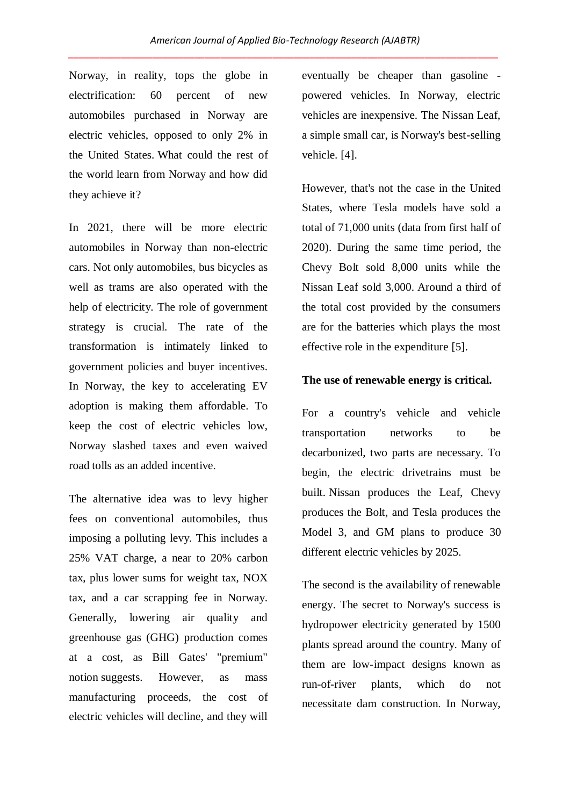Norway, in reality, tops the globe in electrification: 60 percent of new automobiles purchased in Norway are electric vehicles, opposed to only 2% in the United States. What could the rest of the world learn from Norway and how did they achieve it?

In 2021, there will be more electric automobiles in Norway than non-electric cars. Not only automobiles, bus bicycles as well as trams are also operated with the help of electricity. The role of government strategy is crucial. The rate of the transformation is intimately linked to government policies and buyer incentives. In Norway, the key to accelerating EV adoption is making them affordable. To keep the cost of electric vehicles low, Norway slashed taxes and even waived road tolls as an added incentive.

The alternative idea was to levy higher fees on conventional automobiles, thus imposing a polluting levy. This includes a 25% VAT charge, a near to 20% carbon tax, plus lower sums for weight tax, NOX tax, and a car scrapping fee in Norway. Generally, lowering air quality and greenhouse gas (GHG) production comes at a cost, as Bill Gates' "premium" notion suggests. However, as mass manufacturing proceeds, the cost of electric vehicles will decline, and they will eventually be cheaper than gasoline powered vehicles. In Norway, electric vehicles are inexpensive. The Nissan Leaf, a simple small car, is Norway's best-selling vehicle. [4].

However, that's not the case in the United States, where Tesla models have sold a total of 71,000 units (data from first half of 2020). During the same time period, the Chevy Bolt sold 8,000 units while the Nissan Leaf sold 3,000. Around a third of the total cost provided by the consumers are for the batteries which plays the most effective role in the expenditure [5].

#### **The use of renewable energy is critical.**

For a country's vehicle and vehicle transportation networks to be decarbonized, two parts are necessary. To begin, the electric drivetrains must be built. Nissan produces the Leaf, Chevy produces the Bolt, and Tesla produces the Model 3, and GM plans to produce 30 different electric vehicles by 2025.

The second is the availability of renewable energy. The secret to Norway's success is hydropower electricity generated by 1500 plants spread around the country. Many of them are low-impact designs known as run-of-river plants, which do not necessitate dam construction. In Norway,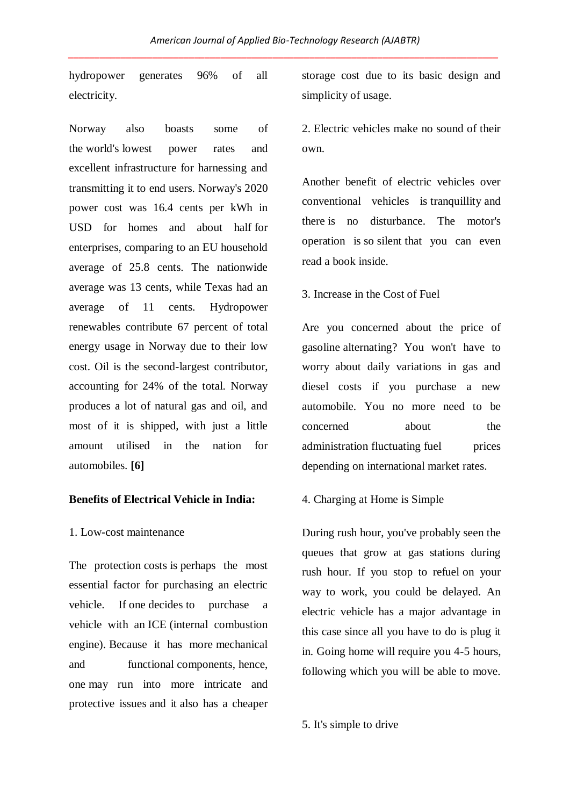hydropower generates 96% of all electricity.

Norway also boasts some of the world's lowest power rates and excellent infrastructure for harnessing and transmitting it to end users. Norway's 2020 power cost was 16.4 cents per kWh in USD for homes and about half for enterprises, comparing to an EU household average of 25.8 cents. The nationwide average was 13 cents, while Texas had an average of 11 cents. Hydropower renewables contribute 67 percent of total energy usage in Norway due to their low cost. Oil is the second-largest contributor, accounting for 24% of the total. Norway produces a lot of natural gas and oil, and most of it is shipped, with just a little amount utilised in the nation for automobiles. **[6]**

## **Benefits of Electrical Vehicle in India:**

#### 1. Low-cost maintenance

The protection costs is perhaps the most essential factor for purchasing an electric vehicle. If one decides to purchase a vehicle with an ICE (internal combustion engine). Because it has more mechanical and functional components, hence, one may run into more intricate and protective issues and it also has a cheaper storage cost due to its basic design and simplicity of usage.

2. Electric vehicles make no sound of their own.

Another benefit of electric vehicles over conventional vehicles is tranquillity and there is no disturbance. The motor's operation is so silent that you can even read a book inside.

3. Increase in the Cost of Fuel

Are you concerned about the price of gasoline alternating? You won't have to worry about daily variations in gas and diesel costs if you purchase a new automobile. You no more need to be concerned about the administration fluctuating fuel prices depending on international market rates.

#### 4. Charging at Home is Simple

During rush hour, you've probably seen the queues that grow at gas stations during rush hour. If you stop to refuel on your way to work, you could be delayed. An electric vehicle has a major advantage in this case since all you have to do is plug it in. Going home will require you 4-5 hours, following which you will be able to move.

5. It's simple to drive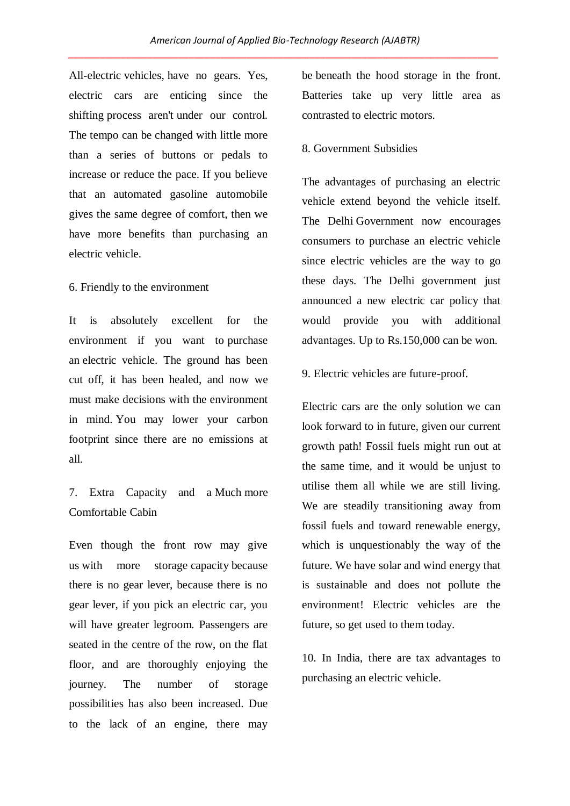All-electric vehicles, have no gears. Yes, electric cars are enticing since the shifting process aren't under our control. The tempo can be changed with little more than a series of buttons or pedals to increase or reduce the pace. If you believe that an automated gasoline automobile gives the same degree of comfort, then we have more benefits than purchasing an electric vehicle.

### 6. Friendly to the environment

It is absolutely excellent for the environment if you want to purchase an electric vehicle. The ground has been cut off, it has been healed, and now we must make decisions with the environment in mind. You may lower your carbon footprint since there are no emissions at all.

## 7. Extra Capacity and a Much more Comfortable Cabin

Even though the front row may give us with more storage capacity because there is no gear lever, because there is no gear lever, if you pick an electric car, you will have greater legroom. Passengers are seated in the centre of the row, on the flat floor, and are thoroughly enjoying the journey. The number of storage possibilities has also been increased. Due to the lack of an engine, there may

be beneath the hood storage in the front. Batteries take up very little area as contrasted to electric motors.

#### 8. Government Subsidies

The advantages of purchasing an electric vehicle extend beyond the vehicle itself. The Delhi Government now encourages consumers to purchase an electric vehicle since electric vehicles are the way to go these days. The Delhi government just announced a new electric car policy that would provide you with additional advantages. Up to Rs.150,000 can be won.

9. Electric vehicles are future-proof.

Electric cars are the only solution we can look forward to in future, given our current growth path! Fossil fuels might run out at the same time, and it would be unjust to utilise them all while we are still living. We are steadily transitioning away from fossil fuels and toward renewable energy, which is unquestionably the way of the future. We have solar and wind energy that is sustainable and does not pollute the environment! Electric vehicles are the future, so get used to them today.

10. In India, there are tax advantages to purchasing an electric vehicle.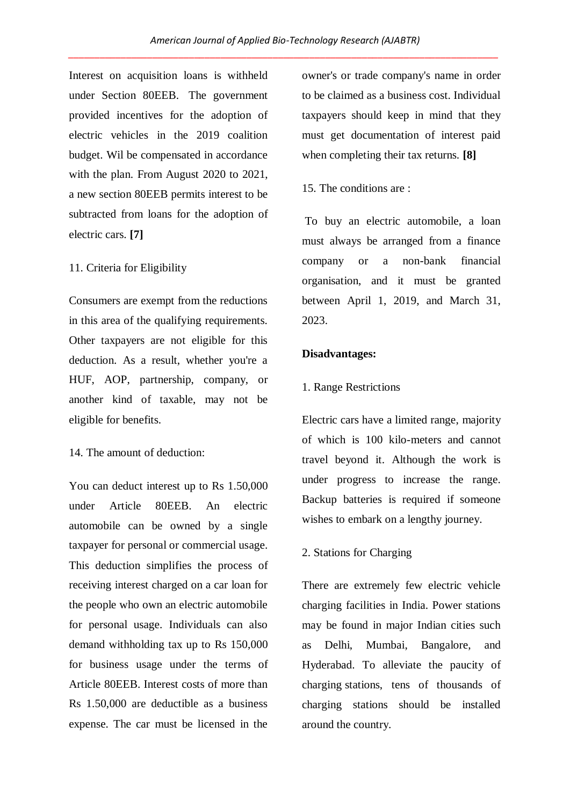Interest on acquisition loans is withheld under Section 80EEB. The government provided incentives for the adoption of electric vehicles in the 2019 coalition budget. Wil be compensated in accordance with the plan. From August 2020 to 2021, a new section 80EEB permits interest to be subtracted from loans for the adoption of electric cars. **[7]** 

## 11. Criteria for Eligibility

Consumers are exempt from the reductions in this area of the qualifying requirements. Other taxpayers are not eligible for this deduction. As a result, whether you're a HUF, AOP, partnership, company, or another kind of taxable, may not be eligible for benefits.

14. The amount of deduction:

You can deduct interest up to Rs 1.50,000 under Article 80EEB. An electric automobile can be owned by a single taxpayer for personal or commercial usage. This deduction simplifies the process of receiving interest charged on a car loan for the people who own an electric automobile for personal usage. Individuals can also demand withholding tax up to Rs 150,000 for business usage under the terms of Article 80EEB. Interest costs of more than Rs 1.50,000 are deductible as a business expense. The car must be licensed in the owner's or trade company's name in order to be claimed as a business cost. Individual taxpayers should keep in mind that they must get documentation of interest paid when completing their tax returns. **[8]**

## 15. The conditions are :

To buy an electric automobile, a loan must always be arranged from a finance company or a non-bank financial organisation, and it must be granted between April 1, 2019, and March 31, 2023.

## **Disadvantages:**

## 1. Range Restrictions

Electric cars have a limited range, majority of which is 100 kilo-meters and cannot travel beyond it. Although the work is under progress to increase the range. Backup batteries is required if someone wishes to embark on a lengthy journey.

## 2. Stations for Charging

There are extremely few electric vehicle charging facilities in India. Power stations may be found in major Indian cities such as Delhi, Mumbai, Bangalore, and Hyderabad. To alleviate the paucity of charging stations, tens of thousands of charging stations should be installed around the country.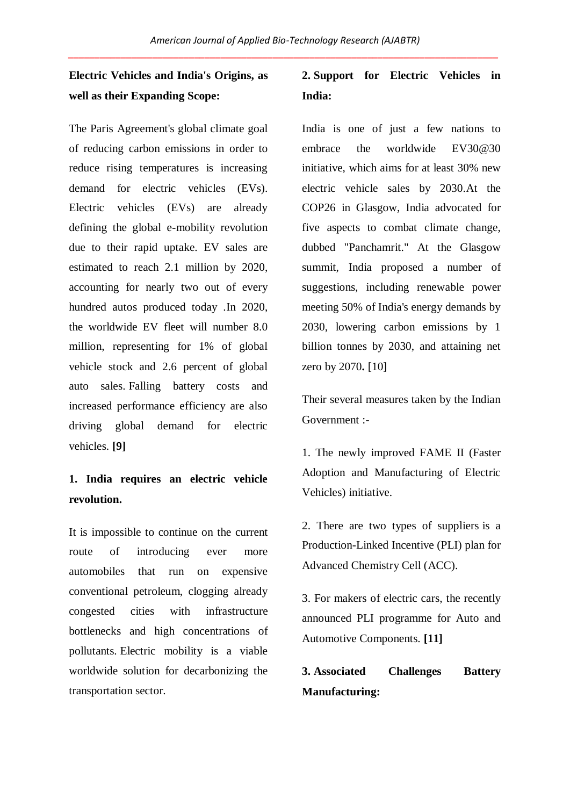# **Electric Vehicles and India's Origins, as well as their Expanding Scope:**

The Paris Agreement's global climate goal of reducing carbon emissions in order to reduce rising temperatures is increasing demand for electric vehicles (EVs). Electric vehicles (EVs) are already defining the global e-mobility revolution due to their rapid uptake. EV sales are estimated to reach 2.1 million by 2020, accounting for nearly two out of every hundred autos produced today .In 2020, the worldwide EV fleet will number 8.0 million, representing for 1% of global vehicle stock and 2.6 percent of global auto sales. Falling battery costs and increased performance efficiency are also driving global demand for electric vehicles. **[9]**

## **1. India requires an electric vehicle revolution.**

It is impossible to continue on the current route of introducing ever more automobiles that run on expensive conventional petroleum, clogging already congested cities with infrastructure bottlenecks and high concentrations of pollutants. Electric mobility is a viable worldwide solution for decarbonizing the transportation sector.

# **2. Support for Electric Vehicles in India:**

India is one of just a few nations to embrace the worldwide EV30@30 initiative, which aims for at least 30% new electric vehicle sales by 2030.At the COP26 in Glasgow, India advocated for five aspects to combat climate change, dubbed "Panchamrit." At the Glasgow summit, India proposed a number of suggestions, including renewable power meeting 50% of India's energy demands by 2030, lowering carbon emissions by 1 billion tonnes by 2030, and attaining net zero by 2070**.** [10]

Their several measures taken by the Indian Government :-

1. The newly improved FAME II (Faster Adoption and Manufacturing of Electric Vehicles) initiative.

2. There are two types of suppliers is a Production-Linked Incentive (PLI) plan for Advanced Chemistry Cell (ACC).

3. For makers of electric cars, the recently announced PLI programme for Auto and Automotive Components. **[11]**

# **3. Associated Challenges Battery Manufacturing:**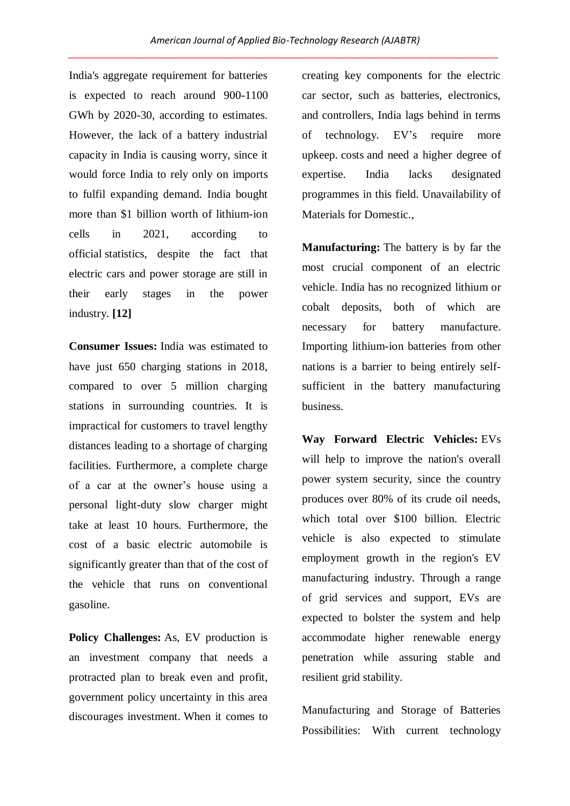India's aggregate requirement for batteries is expected to reach around 900-1100 GWh by 2020-30, according to estimates. However, the lack of a battery industrial capacity in India is causing worry, since it would force India to rely only on imports to fulfil expanding demand. India bought more than \$1 billion worth of lithium-ion cells in 2021, according to official statistics, despite the fact that electric cars and power storage are still in their early stages in the power industry. **[12]**

**Consumer Issues:** India was estimated to have just 650 charging stations in 2018, compared to over 5 million charging stations in surrounding countries. It is impractical for customers to travel lengthy distances leading to a shortage of charging facilities. Furthermore, a complete charge of a car at the owner's house using a personal light-duty slow charger might take at least 10 hours. Furthermore, the cost of a basic electric automobile is significantly greater than that of the cost of the vehicle that runs on conventional gasoline.

**Policy Challenges:** As, EV production is an investment company that needs a protracted plan to break even and profit, government policy uncertainty in this area discourages investment. When it comes to creating key components for the electric car sector, such as batteries, electronics, and controllers, India lags behind in terms of technology. EV's require more upkeep. costs and need a higher degree of expertise. India lacks designated programmes in this field. Unavailability of Materials for Domestic.,

**Manufacturing:** The battery is by far the most crucial component of an electric vehicle. India has no recognized lithium or cobalt deposits, both of which are necessary for battery manufacture. Importing lithium-ion batteries from other nations is a barrier to being entirely selfsufficient in the battery manufacturing business.

**Way Forward Electric Vehicles:** EVs will help to improve the nation's overall power system security, since the country produces over 80% of its crude oil needs, which total over \$100 billion. Electric vehicle is also expected to stimulate employment growth in the region's EV manufacturing industry. Through a range of grid services and support, EVs are expected to bolster the system and help accommodate higher renewable energy penetration while assuring stable and resilient grid stability.

Manufacturing and Storage of Batteries Possibilities: With current technology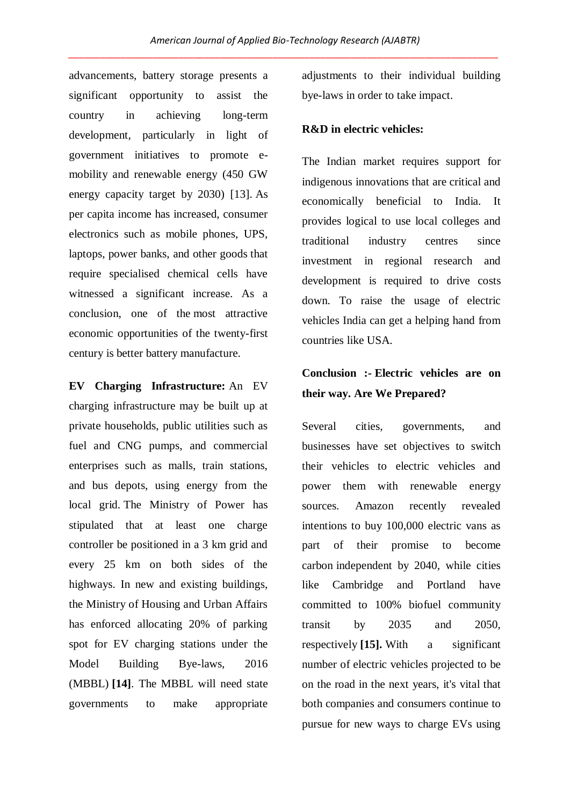advancements, battery storage presents a significant opportunity to assist the country in achieving long-term development, particularly in light of government initiatives to promote emobility and renewable energy (450 GW energy capacity target by 2030) [13]. As per capita income has increased, consumer electronics such as mobile phones, UPS, laptops, power banks, and other goods that require specialised chemical cells have witnessed a significant increase. As a conclusion, one of the most attractive economic opportunities of the twenty-first century is better battery manufacture.

**EV Charging Infrastructure:** An EV charging infrastructure may be built up at private households, public utilities such as fuel and CNG pumps, and commercial enterprises such as malls, train stations, and bus depots, using energy from the local grid. The Ministry of Power has stipulated that at least one charge controller be positioned in a 3 km grid and every 25 km on both sides of the highways. In new and existing buildings, the Ministry of Housing and Urban Affairs has enforced allocating 20% of parking spot for EV charging stations under the Model Building Bye-laws, 2016 (MBBL) **[14]**. The MBBL will need state governments to make appropriate

adjustments to their individual building bye-laws in order to take impact.

### **R&D in electric vehicles:**

The Indian market requires support for indigenous innovations that are critical and economically beneficial to India. It provides logical to use local colleges and traditional industry centres since investment in regional research and development is required to drive costs down. To raise the usage of electric vehicles India can get a helping hand from countries like USA.

# **Conclusion :- Electric vehicles are on their way. Are We Prepared?**

Several cities, governments, and businesses have set objectives to switch their vehicles to electric vehicles and power them with renewable energy sources. Amazon recently revealed intentions to buy 100,000 electric vans as part of their promise to become carbon independent by 2040, while cities like Cambridge and Portland have committed to 100% biofuel community transit by 2035 and 2050, respectively **[15].** With a significant number of electric vehicles projected to be on the road in the next years, it's vital that both companies and consumers continue to pursue for new ways to charge EVs using